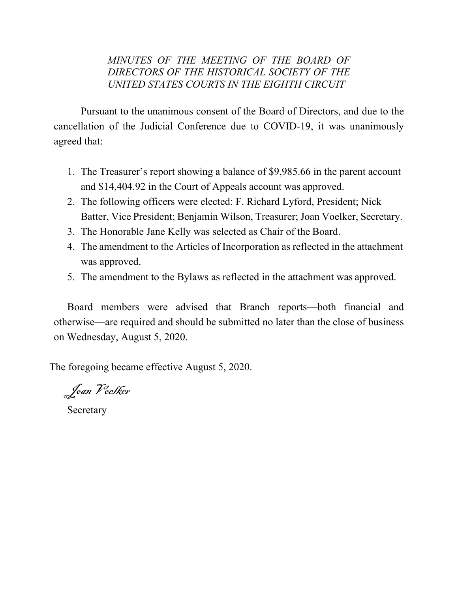# *MINUTES OF THE MEETING OF THE BOARD OF DIRECTORS OF THE HISTORICAL SOCIETY OF THE UNITED STATES COURTS IN THE EIGHTH CIRCUIT*

Pursuant to the unanimous consent of the Board of Directors, and due to the cancellation of the Judicial Conference due to COVID-19, it was unanimously agreed that:

- 1. The Treasurer's report showing a balance of \$9,985.66 in the parent account and \$14,404.92 in the Court of Appeals account was approved.
- 2. The following officers were elected: F. Richard Lyford, President; Nick Batter, Vice President; Benjamin Wilson, Treasurer; Joan Voelker, Secretary.
- 3. The Honorable Jane Kelly was selected as Chair of the Board.
- 4. The amendment to the Articles of Incorporation as reflected in the attachment was approved.
- 5. The amendment to the Bylaws as reflected in the attachment was approved.

Board members were advised that Branch reports—both financial and otherwise—are required and should be submitted no later than the close of business on Wednesday, August 5, 2020.

The foregoing became effective August 5, 2020.

Joan Voelker

Secretary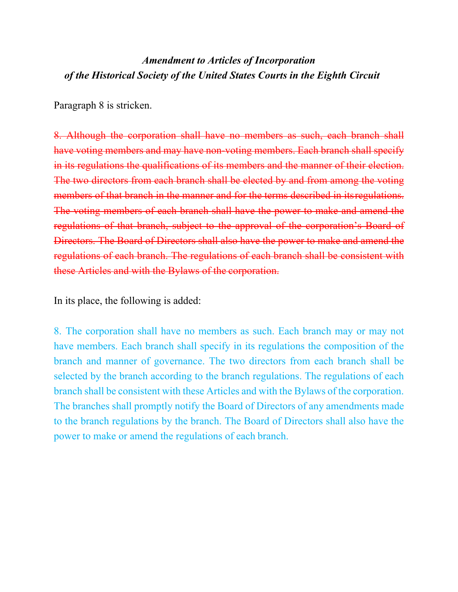# *Amendment to Articles of Incorporation of the Historical Society of the United States Courts in the Eighth Circuit*

Paragraph 8 is stricken.

8. Although the corporation shall have no members as such, each branch shall have voting members and may have non-voting members. Each branch shall specify in its regulations the qualifications of its members and the manner of their election. The two directors from each branch shall be elected by and from among the voting members of that branch in the manner and for the terms described in its regulations. The voting members of each branch shall have the power to make and amend the regulations of that branch, subject to the approval of the corporation's Board of Directors. The Board of Directors shall also have the power to make and amend the regulations of each branch. The regulations of each branch shall be consistent with these Articles and with the Bylaws of the corporation.

In its place, the following is added:

8. The corporation shall have no members as such. Each branch may or may not have members. Each branch shall specify in its regulations the composition of the branch and manner of governance. The two directors from each branch shall be selected by the branch according to the branch regulations. The regulations of each branch shall be consistent with these Articles and with the Bylaws of the corporation. The branches shall promptly notify the Board of Directors of any amendments made to the branch regulations by the branch. The Board of Directors shall also have the power to make or amend the regulations of each branch.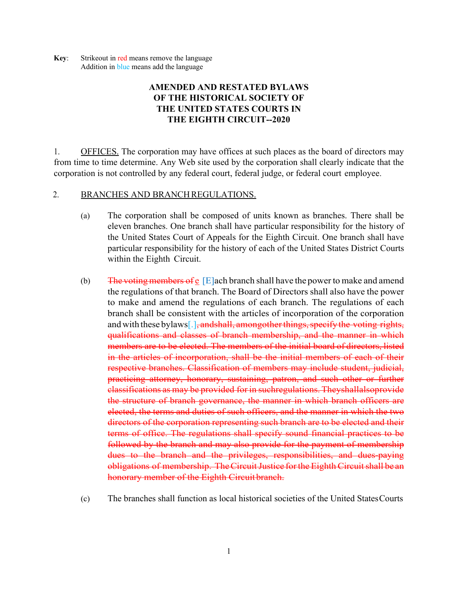**Key:** Strikeout in red means remove the language Addition in blue means add the language

## **AMENDED AND RESTATED BYLAWS OF THE HISTORICAL SOCIETY OF THE UNITED STATES COURTS IN THE EIGHTH CIRCUIT--2020**

1. OFFICES. The corporation may have offices at such places as the board of directors may from time to time determine. Any Web site used by the corporation shall clearly indicate that the corporation is not controlled by any federal court, federal judge, or federal court employee.

#### 2. BRANCHES AND BRANCH REGULATIONS.

- (a) The corporation shall be composed of units known as branches. There shall be eleven branches. One branch shall have particular responsibility for the history of the United States Court of Appeals for the Eighth Circuit. One branch shall have particular responsibility for the history of each of the United States District Courts within the Eighth Circuit.
- (b) The voting members of  $\epsilon$  [E]ach branch shall have the power to make and amend the regulations of that branch. The Board of Directors shall also have the power to make and amend the regulations of each branch. The regulations of each branch shall be consistent with the articles of incorporation of the corporation and with these bylaws [.], and shall, among other things, specify the voting rights, qualifications and classes of branch membership, and the manner in which members are to be elected. The members of the initial board of directors, listed in the articles of incorporation, shall be the initial members of each of their respective branches. Classification of members may include student, judicial, practicing attorney, honorary, sustaining, patron, and such other or further classifications as may be provided for in suchregulations. Theyshallalsoprovide the structure of branch governance, the manner in which branch officers are elected, the terms and duties of such officers, and the manner in which the two directors of the corporation representing such branch are to be elected and their terms of office. The regulations shall specify sound financial practices to be followed by the branch and may also provide for the payment of membership dues to the branch and the privileges, responsibilities, and dues-paying obligations of membership. The Circuit Justice for the Eighth Circuit shall be an honorary member of the Eighth Circuit branch.
- (c) The branches shall function as local historical societies of the United States Courts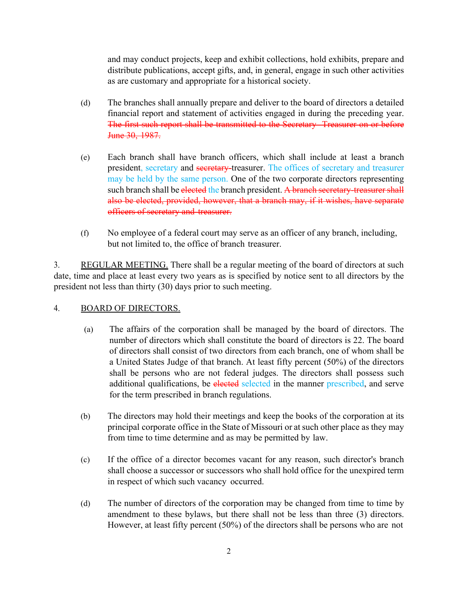and may conduct projects, keep and exhibit collections, hold exhibits, prepare and distribute publications, accept gifts, and, in general, engage in such other activities as are customary and appropriate for a historical society.

- (d) The branches shall annually prepare and deliver to the board of directors a detailed financial report and statement of activities engaged in during the preceding year. The first such report shall be transmitted to the Secretary- Treasurer on or before June 30, 1987.
- (e) Each branch shall have branch officers, which shall include at least a branch president, secretary and secretary-treasurer. The offices of secretary and treasurer may be held by the same person. One of the two corporate directors representing such branch shall be elected the branch president. A branch secretary-treasurer shall also be elected, provided, however, that a branch may, if it wishes, have separate officers of secretary and treasurer.
- (f) No employee of a federal court may serve as an officer of any branch, including, but not limited to, the office of branch treasurer.

3. REGULAR MEETING. There shall be a regular meeting of the board of directors at such date, time and place at least every two years as is specified by notice sent to all directors by the president not less than thirty (30) days prior to such meeting.

#### 4. BOARD OF DIRECTORS.

- (a) The affairs of the corporation shall be managed by the board of directors. The number of directors which shall constitute the board of directors is 22. The board of directors shall consist of two directors from each branch, one of whom shall be a United States Judge of that branch. At least fifty percent (50%) of the directors shall be persons who are not federal judges. The directors shall possess such additional qualifications, be elected selected in the manner prescribed, and serve for the term prescribed in branch regulations.
- (b) The directors may hold their meetings and keep the books of the corporation at its principal corporate office in the State of Missouri or at such other place as they may from time to time determine and as may be permitted by law.
- (c) If the office of a director becomes vacant for any reason, such director's branch shall choose a successor or successors who shall hold office for the unexpired term in respect of which such vacancy occurred.
- (d) The number of directors of the corporation may be changed from time to time by amendment to these bylaws, but there shall not be less than three (3) directors. However, at least fifty percent (50%) of the directors shall be persons who are not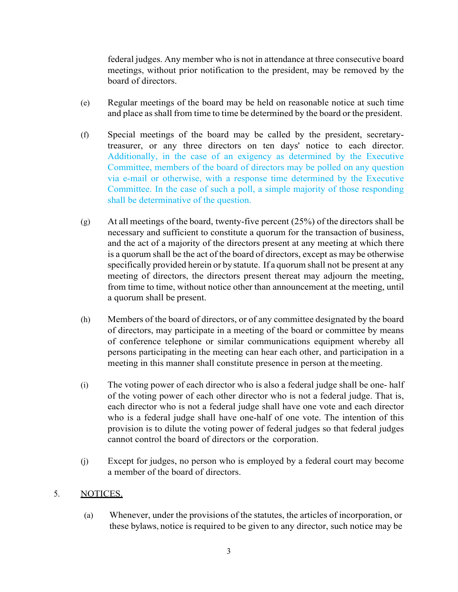federal judges. Any member who is not in attendance at three consecutive board meetings, without prior notification to the president, may be removed by the board of directors.

- (e) Regular meetings of the board may be held on reasonable notice at such time and place as shall from time to time be determined by the board or the president.
- (f) Special meetings of the board may be called by the president, secretarytreasurer, or any three directors on ten days' notice to each director. Additionally, in the case of an exigency as determined by the Executive Committee, members of the board of directors may be polled on any question via e-mail or otherwise, with a response time determined by the Executive Committee. In the case of such a poll, a simple majority of those responding shall be determinative of the question.
- (g) At all meetings of the board, twenty-five percent (25%) of the directors shall be necessary and sufficient to constitute a quorum for the transaction of business, and the act of a majority of the directors present at any meeting at which there is a quorum shall be the act of the board of directors, except as may be otherwise specifically provided herein or by statute. If a quorum shall not be present at any meeting of directors, the directors present thereat may adjourn the meeting, from time to time, without notice other than announcement at the meeting, until a quorum shall be present.
- (h) Members of the board of directors, or of any committee designated by the board of directors, may participate in a meeting of the board or committee by means of conference telephone or similar communications equipment whereby all persons participating in the meeting can hear each other, and participation in a meeting in this manner shall constitute presence in person at the meeting.
- (i) The voting power of each director who is also a federal judge shall be one- half of the voting power of each other director who is not a federal judge. That is, each director who is not a federal judge shall have one vote and each director who is a federal judge shall have one-half of one vote. The intention of this provision is to dilute the voting power of federal judges so that federal judges cannot control the board of directors or the corporation.
- (j) Except for judges, no person who is employed by a federal court may become a member of the board of directors.

#### 5. NOTICES.

(a) Whenever, under the provisions of the statutes, the articles of incorporation, or these bylaws, notice is required to be given to any director, such notice may be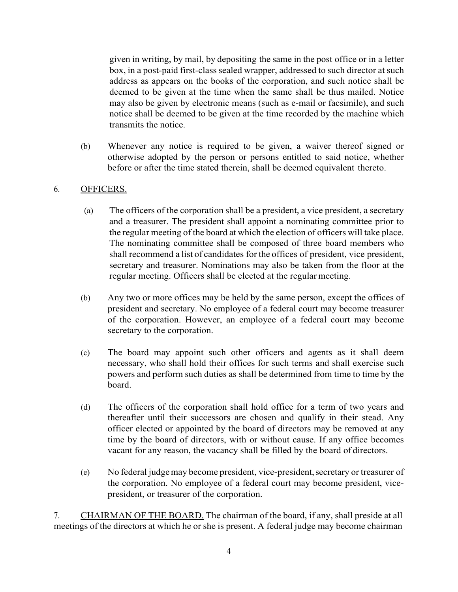given in writing, by mail, by depositing the same in the post office or in a letter box, in a post-paid first-class sealed wrapper, addressed to such director at such address as appears on the books of the corporation, and such notice shall be deemed to be given at the time when the same shall be thus mailed. Notice may also be given by electronic means (such as e-mail or facsimile), and such notice shall be deemed to be given at the time recorded by the machine which transmits the notice.

(b) Whenever any notice is required to be given, a waiver thereof signed or otherwise adopted by the person or persons entitled to said notice, whether before or after the time stated therein, shall be deemed equivalent thereto.

### 6. OFFICERS.

- (a) The officers of the corporation shall be a president, a vice president, a secretary and a treasurer. The president shall appoint a nominating committee prior to the regular meeting of the board at which the election of officers will take place. The nominating committee shall be composed of three board members who shall recommend a list of candidates for the offices of president, vice president, secretary and treasurer. Nominations may also be taken from the floor at the regular meeting. Officers shall be elected at the regular meeting.
- (b) Any two or more offices may be held by the same person, except the offices of president and secretary. No employee of a federal court may become treasurer of the corporation. However, an employee of a federal court may become secretary to the corporation.
- (c) The board may appoint such other officers and agents as it shall deem necessary, who shall hold their offices for such terms and shall exercise such powers and perform such duties as shall be determined from time to time by the board.
- (d) The officers of the corporation shall hold office for a term of two years and thereafter until their successors are chosen and qualify in their stead. Any officer elected or appointed by the board of directors may be removed at any time by the board of directors, with or without cause. If any office becomes vacant for any reason, the vacancy shall be filled by the board of directors.
- (e) No federal judge may become president, vice-president, secretary or treasurer of the corporation. No employee of a federal court may become president, vicepresident, or treasurer of the corporation.

7. CHAIRMAN OF THE BOARD. The chairman of the board, if any, shall preside at all meetings of the directors at which he or she is present. A federal judge may become chairman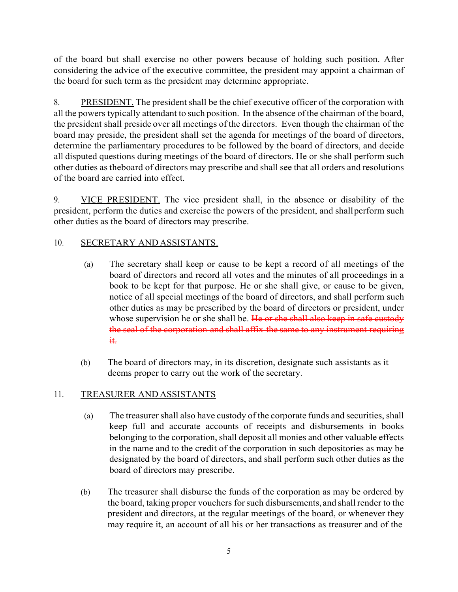of the board but shall exercise no other powers because of holding such position. After considering the advice of the executive committee, the president may appoint a chairman of the board for such term as the president may determine appropriate.

8. PRESIDENT. The president shall be the chief executive officer of the corporation with all the powers typically attendant to such position. In the absence of the chairman of the board, the president shall preside over all meetings of the directors. Even though the chairman of the board may preside, the president shall set the agenda for meetings of the board of directors, determine the parliamentary procedures to be followed by the board of directors, and decide all disputed questions during meetings of the board of directors. He or she shall perform such other duties as theboard of directors may prescribe and shall see that all orders and resolutions of the board are carried into effect.

9. <u>VICE PRESIDENT.</u> The vice president shall, in the absence or disability of the president, perform the duties and exercise the powers of the president, and shall perform such other duties as the board of directors may prescribe.

## 10. SECRETARY AND ASSISTANTS.

- (a) The secretary shall keep or cause to be kept a record of all meetings of the board of directors and record all votes and the minutes of all proceedings in a book to be kept for that purpose. He or she shall give, or cause to be given, notice of all special meetings of the board of directors, and shall perform such other duties as may be prescribed by the board of directors or president, under whose supervision he or she shall be. He or she shall also keep in safe custody the seal of the corporation and shall affix the same to any instrument requiring it.
- (b) The board of directors may, in its discretion, designate such assistants as it deems proper to carry out the work of the secretary.

#### 11. TREASURER AND ASSISTANTS

- (a) The treasurer shall also have custody of the corporate funds and securities, shall keep full and accurate accounts of receipts and disbursements in books belonging to the corporation, shall deposit all monies and other valuable effects in the name and to the credit of the corporation in such depositories as may be designated by the board of directors, and shall perform such other duties as the board of directors may prescribe.
- (b) The treasurer shall disburse the funds of the corporation as may be ordered by the board, taking proper vouchers for such disbursements, and shall render to the president and directors, at the regular meetings of the board, or whenever they may require it, an account of all his or her transactions as treasurer and of the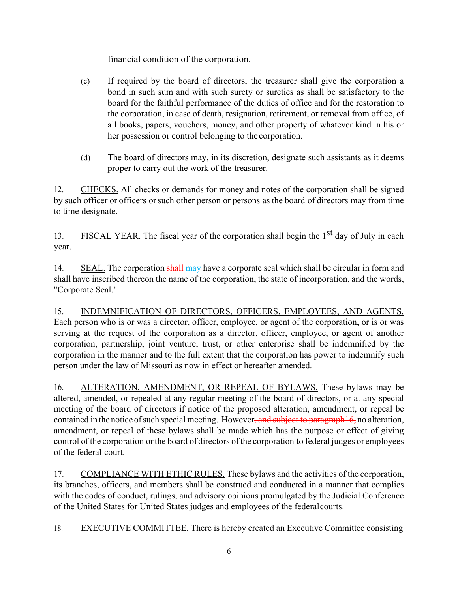financial condition of the corporation.

- (c) If required by the board of directors, the treasurer shall give the corporation a bond in such sum and with such surety or sureties as shall be satisfactory to the board for the faithful performance of the duties of office and for the restoration to the corporation, in case of death, resignation, retirement, or removal from office, of all books, papers, vouchers, money, and other property of whatever kind in his or her possession or control belonging to the corporation.
- (d) The board of directors may, in its discretion, designate such assistants as it deems proper to carry out the work of the treasurer.

12. CHECKS. All checks or demands for money and notes of the corporation shall be signed by such officer or officers or such other person or persons as the board of directors may from time to time designate.

13. FISCAL YEAR. The fiscal year of the corporation shall begin the  $1<sup>st</sup>$  day of July in each year.

14. SEAL. The corporation shall may have a corporate seal which shall be circular in form and shall have inscribed thereon the name of the corporation, the state of incorporation, and the words, "Corporate Seal."

15. INDEMNIFICATION OF DIRECTORS, OFFICERS. EMPLOYEES, AND AGENTS. Each person who is or was a director, officer, employee, or agent of the corporation, or is or was serving at the request of the corporation as a director, officer, employee, or agent of another corporation, partnership, joint venture, trust, or other enterprise shall be indemnified by the corporation in the manner and to the full extent that the corporation has power to indemnify such person under the law of Missouri as now in effect or hereafter amended.

16. ALTERATION, AMENDMENT, OR REPEAL OF BYLAWS. These bylaws may be altered, amended, or repealed at any regular meeting of the board of directors, or at any special meeting of the board of directors if notice of the proposed alteration, amendment, or repeal be contained in the notice of such special meeting. However, and subject to paragraph16, no alteration, amendment, or repeal of these bylaws shall be made which has the purpose or effect of giving control of the corporation or the board of directors of the corporation to federal judges or employees of the federal court.

17. COMPLIANCE WITH ETHIC RULES. These bylaws and the activities of the corporation, its branches, officers, and members shall be construed and conducted in a manner that complies with the codes of conduct, rulings, and advisory opinions promulgated by the Judicial Conference of the United States for United States judges and employees of the federal courts.

18. EXECUTIVE COMMITTEE. There is hereby created an Executive Committee consisting